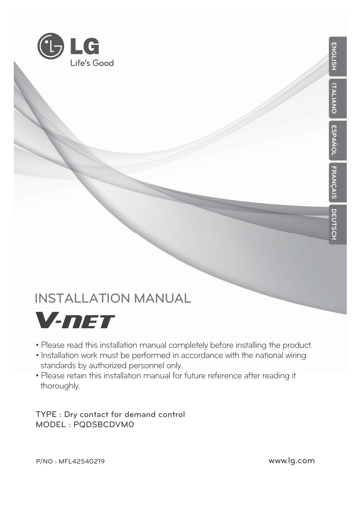

## **INSTALLATION MANUAL**



- Please read this installation manual completely before installing the product.
- Installation work must be performed in accordance with the national wiring standards by authorized personnel only.
- Please retain this installation manual for future reference after reading it thoroughly.

**TYPE : Dry contact for demand control MODEL : PQDSBCDVM0**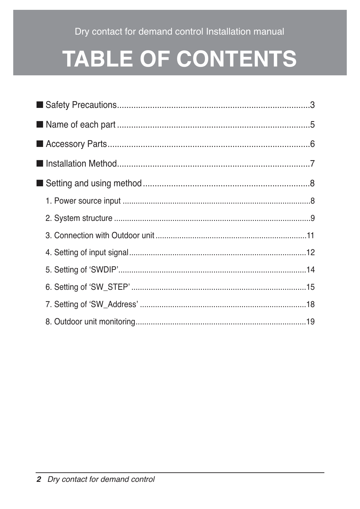Dry contact for demand control Installation manual

# **TABLE OF CONTENTS**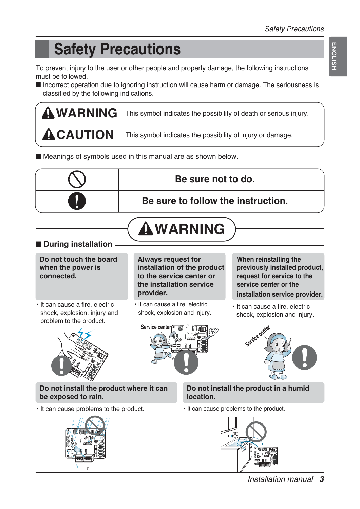## **Safety Precautions**

To prevent injury to the user or other people and property damage, the following instructions must be followed.

■ Incorrect operation due to ignoring instruction will cause harm or damage. The seriousness is classified by the following indications.

**WARNING ACAUTION** This symbol indicates the possibility of death or serious injury. This symbol indicates the possibility of injury or damage.

■ Meanings of symbols used in this manual are as shown below.

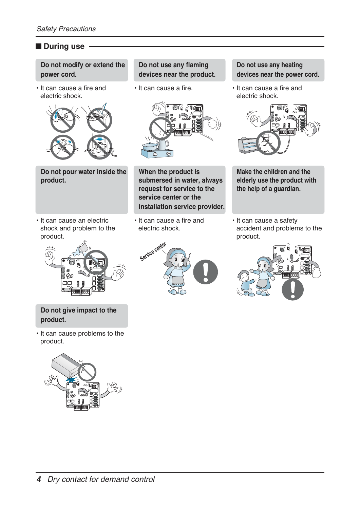#### ■ **During use**

**Do not modify or extend the power cord.** 

• It can cause a fire and electric shock.



**Do not pour water inside the product.**

• It can cause an electric shock and problem to the product.



**Do not give impact to the product.**

• It can cause problems to the product.



**Do not use any flaming devices near the product.** 

• It can cause a fire.



**When the product is submersed in water, always request for service to the service center or the installation service provider.** 

• It can cause a fire and electric shock.



**Do not use any heating devices near the power cord.** 

• It can cause a fire and electric shock.



**Make the children and the elderly use the product with the help of a guardian.** 

• It can cause a safety accident and problems to the product.

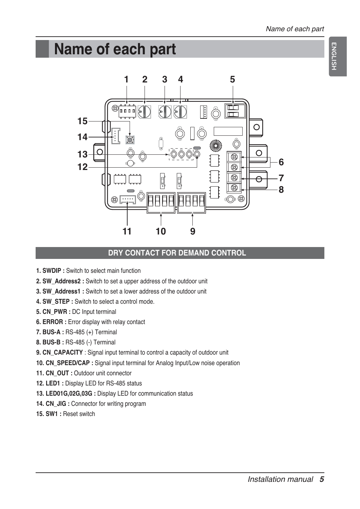## **Name of each part**



#### **DRY CONTACT FOR DEMAND CONTROL**

- **1. SWDIP :** Switch to select main function
- **2. SW\_Address2 :** Switch to set a upper address of the outdoor unit
- **3. SW\_Address1 :** Switch to set a lower address of the outdoor unit
- **4. SW\_STEP :** Switch to select a control mode.
- **5. CN\_PWR :** DC Input terminal
- **6. ERROR :** Error display with relay contact
- **7. BUS-A :** RS-485 (+) Terminal
- **8. BUS-B :** RS-485 (-) Terminal
- **9. CN\_CAPACITY** : Signal input terminal to control a capacity of outdoor unit
- **10. CN\_SPEED/CAP :** Signal input terminal for Analog Input/Low noise operation
- 11. CN\_OUT : Outdoor unit connector
- **12. LED1 :** Display LED for RS-485 status
- **13. LED01G,02G,03G :** Display LED for communication status
- **14. CN\_JIG :** Connector for writing program
- **15. SW1 :** Reset switch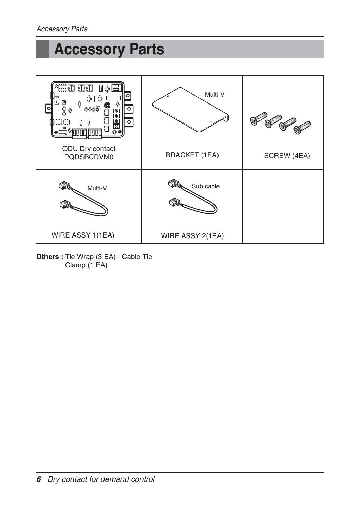## **Accessory Parts**



**Others :** Tie Wrap (3 EA) - Cable Tie Clamp (1 EA)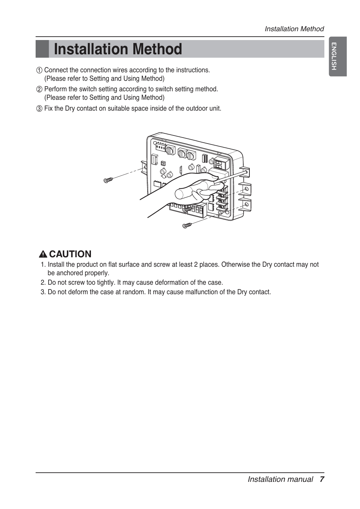## **Installation Method**

- ① Connect the connection wires according to the instructions. (Please refer to Setting and Using Method)
- ② Perform the switch setting according to switch setting method. (Please refer to Setting and Using Method)
- ③ Fix the Dry contact on suitable space inside of the outdoor unit.



### **A CAUTION**

- 1. Install the product on flat surface and screw at least 2 places. Otherwise the Dry contact may not be anchored properly.
- 2. Do not screw too tightly. It may cause deformation of the case.
- 3. Do not deform the case at random. It may cause malfunction of the Dry contact.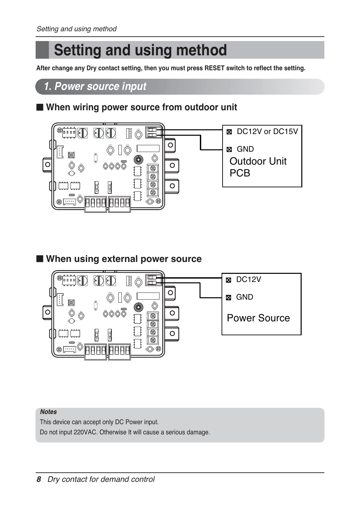## **Setting and using method**

**After change any Dry contact setting, then you must press RESET switch to reflect the setting.**

### *1. Power source input*

### ■ When wiring power source from outdoor unit



#### ■ When using external power source



#### *Notes*

This device can accept only DC Power input. Do not input 220VAC. Otherwise It will cause a serious damage.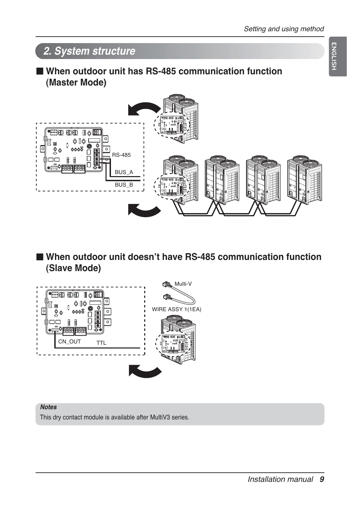**ENGLISH**



■ When outdoor unit doesn't have RS-485 communication function **(Slave Mode)**



#### *Notes*

This dry contact module is available after MultiV3 series.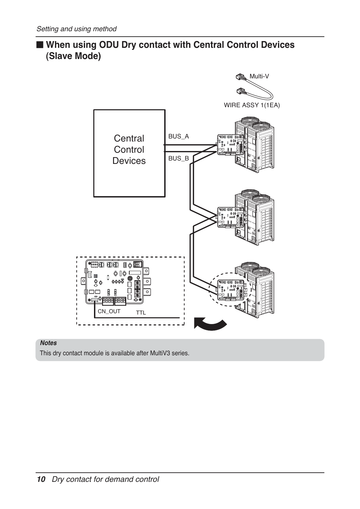### ■ When using ODU Dry contact with Central Control Devices **(Slave Mode)**



#### *Notes*

This dry contact module is available after MultiV3 series.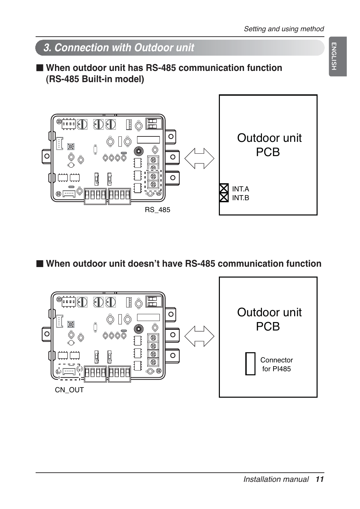## *3. Connection with Outdoor unit*

### ■ **When outdoor unit has RS-485 communication function (RS-485 Built-in model)**



■ When outdoor unit doesn't have RS-485 communication function

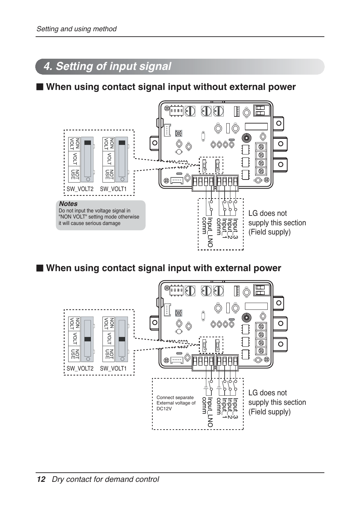## *4. Setting of input signal*

■ **When using contact signal input without external power**



■ When using contact signal input with external power

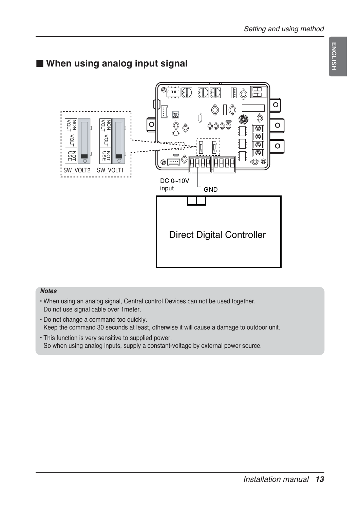**ENGLISH ENGLISH**

## ■ When using analog input signal



#### *Notes*

- When using an analog signal, Central control Devices can not be used together. Do not use signal cable over 1meter.
- Do not change a command too quickly. Keep the command 30 seconds at least, otherwise it will cause a damage to outdoor unit.
- This function is very sensitive to supplied power. So when using analog inputs, supply a constant-voltage by external power source.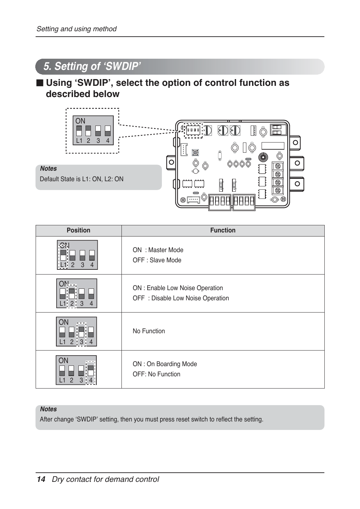## *5. Setting of ʻSWDIP'*

### ■ Using 'SWDIP', select the option of control function as **described below**



| <b>Position</b>                        | <b>Function</b>                                                      |
|----------------------------------------|----------------------------------------------------------------------|
| <b>Chl</b><br>3<br>2<br>$\overline{4}$ | ON: Master Mode<br>OFF : Slave Mode                                  |
| $ON$ -<br>$L1$ 2 3<br>$\overline{4}$   | ON : Enable Low Noise Operation<br>OFF : Disable Low Noise Operation |
| ON<br>---<br>$2 \t3 \t4$<br>L1         | No Function                                                          |
| ON<br>$\overline{2}$                   | ON: On Boarding Mode<br>OFF: No Function                             |

#### *Notes*

After change ʻSWDIP' setting, then you must press reset switch to reflect the setting.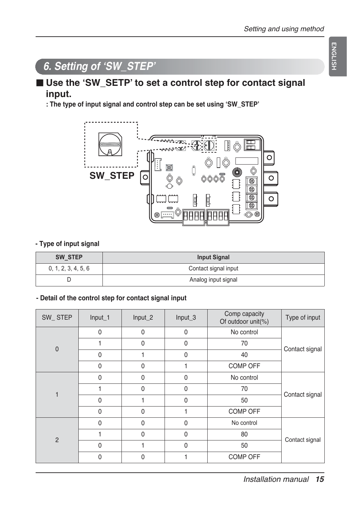## **ENGLISH ENGLISH**

## *6. Setting of ʻSW\_STEP'*

### ■ Use the 'SW\_SETP' to set a control step for contact signal **input.**

**: The type of input signal and control step can be set using ʻSW\_STEP'**



#### **- Type of input signal**

| SW STEP             | <b>Input Signal</b>  |
|---------------------|----------------------|
| 0, 1, 2, 3, 4, 5, 6 | Contact signal input |
|                     | Analog input signal  |

#### **- Detail of the control step for contact signal input**

| SW_STEP                 | Input_1      | Input_2      | Input_3      | Comp capacity<br>Of outdoor unit(%) | Type of input  |
|-------------------------|--------------|--------------|--------------|-------------------------------------|----------------|
| $\mathbf{0}$            | $\mathbf 0$  | $\mathbf{0}$ | $\mathbf{0}$ | No control                          |                |
|                         |              | $\mathbf{0}$ | $\mathbf{0}$ | 70                                  |                |
|                         | $\mathbf 0$  |              | $\Omega$     | 40                                  | Contact signal |
|                         | $\mathbf 0$  | $\Omega$     |              | COMP OFF                            |                |
| $\overline{\mathbf{1}}$ | $\mathbf 0$  | $\Omega$     | $\Omega$     | No control                          |                |
|                         |              | $\Omega$     | $\Omega$     | 70                                  |                |
|                         | $\mathbf 0$  |              | $\Omega$     | 50                                  | Contact signal |
|                         | $\mathbf{0}$ | $\Omega$     |              | <b>COMP OFF</b>                     |                |
| $\overline{2}$          | $\mathbf 0$  | $\Omega$     | $\Omega$     | No control                          |                |
|                         |              | $\Omega$     | $\Omega$     | 80                                  | Contact signal |
|                         | $\mathbf 0$  |              | $\Omega$     | 50                                  |                |
|                         | $\mathbf 0$  | $\mathbf{0}$ |              | <b>COMP OFF</b>                     |                |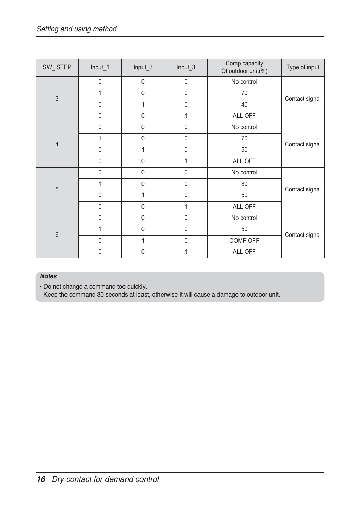| SW_STEP        | Input_1        | Input_2      | Input_3      | Comp capacity<br>Of outdoor unit(%) | Type of input  |  |
|----------------|----------------|--------------|--------------|-------------------------------------|----------------|--|
| $\overline{3}$ | $\mathbf 0$    | $\mathbf 0$  | $\mathbf 0$  | No control                          |                |  |
|                | 1              | $\mathbf 0$  | $\mathbf 0$  | 70                                  | Contact signal |  |
|                | $\overline{0}$ | 1            | $\mathbf{0}$ | 40                                  |                |  |
|                | $\mathbf 0$    | $\mathbf 0$  | 1            | ALL OFF                             |                |  |
|                | $\mathbf 0$    | $\mathbf 0$  | $\mathbf 0$  | No control                          |                |  |
| $\overline{4}$ | 1              | $\mathbf 0$  | $\mathbf 0$  | 70                                  | Contact signal |  |
|                | $\mathbf 0$    | 1            | $\mathbf 0$  | 50                                  |                |  |
|                | $\mathbf 0$    | $\mathbf 0$  | 1            | ALL OFF                             |                |  |
| $\overline{5}$ | $\mathbf 0$    | $\mathbf 0$  | $\mathbf 0$  | No control                          |                |  |
|                | 1              | $\mathbf{0}$ | $\mathbf{0}$ | 80                                  | Contact signal |  |
|                | $\mathbf 0$    | 1            | $\mathbf 0$  | 50                                  |                |  |
|                | $\mathbf 0$    | $\mathbf 0$  | 1            | ALL OFF                             |                |  |
| $6\,$          | $\mathbf 0$    | $\mathbf 0$  | $\mathbf 0$  | No control                          |                |  |
|                | 1              | $\mathbf 0$  | $\mathbf 0$  | 50                                  | Contact signal |  |
|                | $\mathbf 0$    | 1            | $\mathbf 0$  | COMP OFF                            |                |  |
|                | $\mathbf 0$    | $\mathbf 0$  |              | ALL OFF                             |                |  |

#### *Notes*

• Do not change a command too quickly.

Keep the command 30 seconds at least, otherwise it will cause a damage to outdoor unit.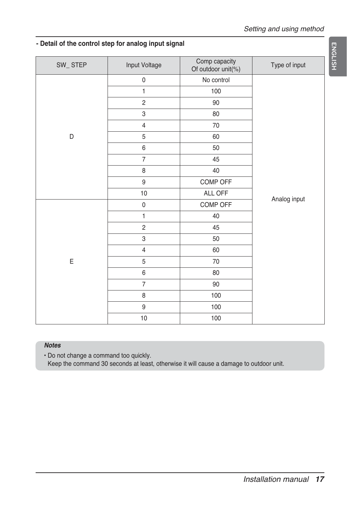#### **- Detail of the control step for analog input signal**

| SW_STEP | Input Voltage  | Comp capacity<br>Of outdoor unit(%) | Type of input |  |  |
|---------|----------------|-------------------------------------|---------------|--|--|
|         | $\pmb{0}$      | No control                          |               |  |  |
|         | $\mathbf{1}$   | 100                                 |               |  |  |
|         | $\overline{c}$ | $90\,$                              |               |  |  |
|         | 3              | 80                                  |               |  |  |
|         | $\overline{4}$ | 70                                  |               |  |  |
| D       | 5              | 60                                  |               |  |  |
|         | 6              | 50                                  |               |  |  |
|         | $\overline{7}$ | 45                                  |               |  |  |
|         | 8              | 40                                  |               |  |  |
|         | 9              | COMP OFF                            |               |  |  |
|         | $10$           | ALL OFF                             | Analog input  |  |  |
| Ε       | $\pmb{0}$      | COMP OFF                            |               |  |  |
|         | $\mathbf{1}$   | 40                                  |               |  |  |
|         | $\overline{c}$ | 45                                  |               |  |  |
|         | 3              | 50                                  |               |  |  |
|         | $\overline{4}$ | 60                                  |               |  |  |
|         | 5              | $70\,$                              |               |  |  |
|         | 6              | 80                                  |               |  |  |
|         | $\overline{7}$ | 90                                  |               |  |  |
|         | 8              | 100                                 |               |  |  |
|         | 9              | 100                                 |               |  |  |
|         | $10$           | 100                                 |               |  |  |

#### *Notes*

• Do not change a command too quickly.

Keep the command 30 seconds at least, otherwise it will cause a damage to outdoor unit.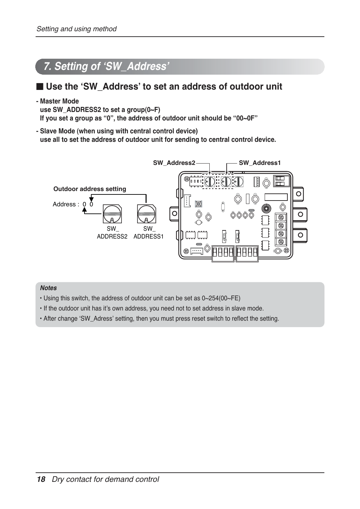## *7. Setting of ʻSW\_Address'*

### ■ Use the 'SW\_Address' to set an address of outdoor unit

**- Master Mode**

**use SW\_ADDRESS2 to set a group(0~F) If you set a group as "0", the address of outdoor unit should be "00~0F"**

**- Slave Mode (when using with central control device) use all to set the address of outdoor unit for sending to central control device.**



#### *Notes*

- Using this switch, the address of outdoor unit can be set as 0~254(00~FE)
- If the outdoor unit has it's own address, you need not to set address in slave mode.
- After change ʻSW\_Adress' setting, then you must press reset switch to reflect the setting.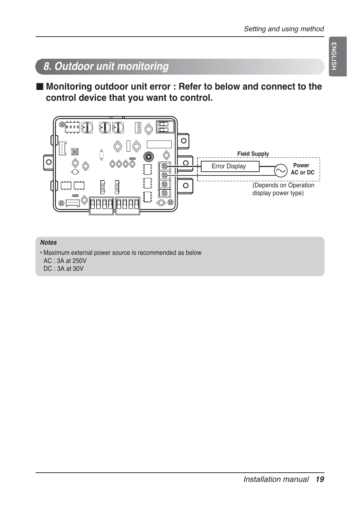## **ENGLISH ENGLISH**

## *8. Outdoor unit monitoring*

■ Monitoring outdoor unit error : Refer to below and connect to the **control device that you want to control.**



#### *Notes*

• Maximum external power source is recommended as below AC : 3A at 250V DC : 3A at 30V